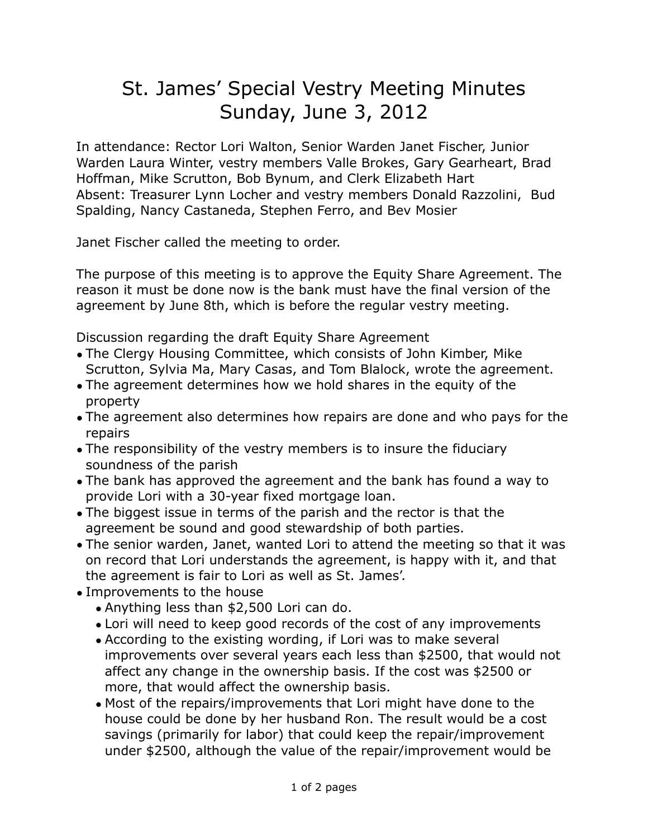## St. James' Special Vestry Meeting Minutes Sunday, June 3, 2012

In attendance: Rector Lori Walton, Senior Warden Janet Fischer, Junior Warden Laura Winter, vestry members Valle Brokes, Gary Gearheart, Brad Hoffman, Mike Scrutton, Bob Bynum, and Clerk Elizabeth Hart Absent: Treasurer Lynn Locher and vestry members Donald Razzolini, Bud Spalding, Nancy Castaneda, Stephen Ferro, and Bev Mosier

Janet Fischer called the meeting to order.

The purpose of this meeting is to approve the Equity Share Agreement. The reason it must be done now is the bank must have the final version of the agreement by June 8th, which is before the regular vestry meeting.

Discussion regarding the draft Equity Share Agreement

- The Clergy Housing Committee, which consists of John Kimber, Mike Scrutton, Sylvia Ma, Mary Casas, and Tom Blalock, wrote the agreement.
- The agreement determines how we hold shares in the equity of the property
- The agreement also determines how repairs are done and who pays for the repairs
- The responsibility of the vestry members is to insure the fiduciary soundness of the parish
- The bank has approved the agreement and the bank has found a way to provide Lori with a 30-year fixed mortgage loan.
- The biggest issue in terms of the parish and the rector is that the agreement be sound and good stewardship of both parties.
- The senior warden, Janet, wanted Lori to attend the meeting so that it was on record that Lori understands the agreement, is happy with it, and that the agreement is fair to Lori as well as St. James'.
- Improvements to the house
	- Anything less than \$2,500 Lori can do.
	- Lori will need to keep good records of the cost of any improvements
	- According to the existing wording, if Lori was to make several improvements over several years each less than \$2500, that would not affect any change in the ownership basis. If the cost was \$2500 or more, that would affect the ownership basis.
	- Most of the repairs/improvements that Lori might have done to the house could be done by her husband Ron. The result would be a cost savings (primarily for labor) that could keep the repair/improvement under \$2500, although the value of the repair/improvement would be